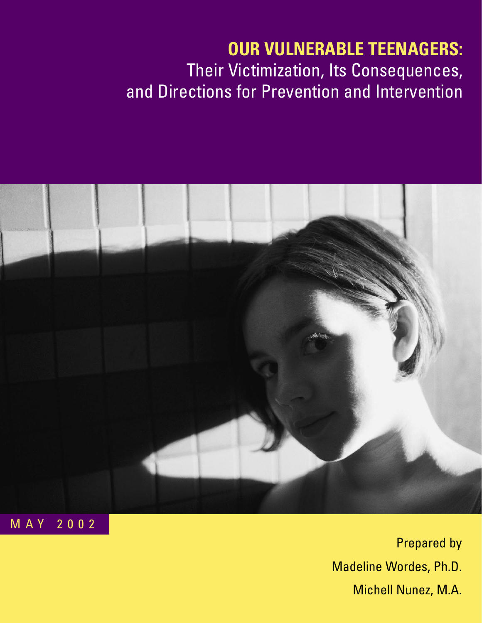# **OUR VULNERABLE TEENAGERS:** Their Victimization, Its Consequences, and Directions for Prevention and Intervention



Prepared by Madeline Wordes, Ph.D. Michell Nunez, M.A.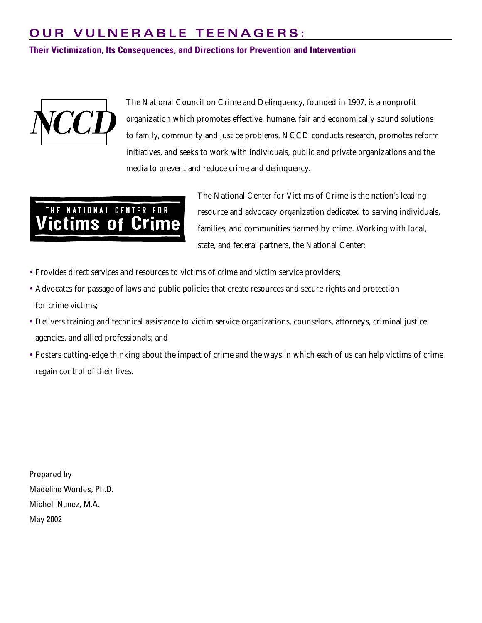# **OUR VULNERABLE TEENAGERS:**

**Their Victimization, Its Consequences, and Directions for Prevention and Intervention**



The National Council on Crime and Delinquency, founded in 1907, is a nonprofit organization which promotes effective, humane, fair and economically sound solutions to family, community and justice problems. NCCD conducts research, promotes reform initiatives, and seeks to work with individuals, public and private organizations and the media to prevent and reduce crime and delinquency.

# THE NATIONAL CENTER FOR ictims of Cr

The National Center for Victims of Crime is the nation's leading resource and advocacy organization dedicated to serving individuals, families, and communities harmed by crime. Working with local, state, and federal partners, the National Center:

- Provides direct services and resources to victims of crime and victim service providers;
- Advocates for passage of laws and public policies that create resources and secure rights and protection for crime victims;
- Delivers training and technical assistance to victim service organizations, counselors, attorneys, criminal justice agencies, and allied professionals; and
- Fosters cutting-edge thinking about the impact of crime and the ways in which each of us can help victims of crime regain control of their lives.

Prepared by Madeline Wordes, Ph.D. Michell Nunez, M.A. May 2002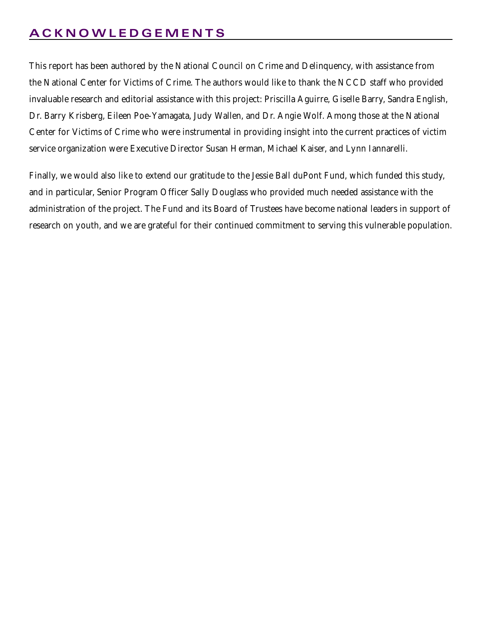# **ACKNOWLEDGEMENTS**

This report has been authored by the National Council on Crime and Delinquency, with assistance from the National Center for Victims of Crime. The authors would like to thank the NCCD staff who provided invaluable research and editorial assistance with this project: Priscilla Aguirre, Giselle Barry, Sandra English, Dr. Barry Krisberg, Eileen Poe-Yamagata, Judy Wallen, and Dr. Angie Wolf. Among those at the National Center for Victims of Crime who were instrumental in providing insight into the current practices of victim service organization were Executive Director Susan Herman, Michael Kaiser, and Lynn Iannarelli.

Finally, we would also like to extend our gratitude to the Jessie Ball duPont Fund, which funded this study, and in particular, Senior Program Officer Sally Douglass who provided much needed assistance with the administration of the project. The Fund and its Board of Trustees have become national leaders in support of research on youth, and we are grateful for their continued commitment to serving this vulnerable population.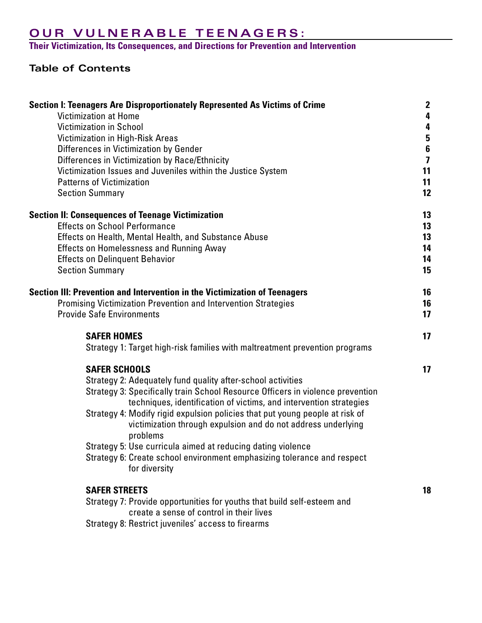# **OUR VULNERABLE TEENAGERS:**

**Their Victimization, Its Consequences, and Directions for Prevention and Intervention**

# **Table of Contents**

| <b>Victimization in School</b><br>4<br>$\boldsymbol{5}$<br><b>Victimization in High-Risk Areas</b><br>$\frac{6}{7}$<br>Differences in Victimization by Gender<br>Differences in Victimization by Race/Ethnicity<br>Victimization Issues and Juveniles within the Justice System<br>11<br>11<br><b>Patterns of Victimization</b><br>12<br><b>Section Summary</b><br><b>Section II: Consequences of Teenage Victimization</b><br>13<br><b>Effects on School Performance</b><br>13<br>13<br>Effects on Health, Mental Health, and Substance Abuse<br>14<br><b>Effects on Homelessness and Running Away</b><br>14<br><b>Effects on Delinquent Behavior</b><br><b>Section Summary</b><br>15 |
|----------------------------------------------------------------------------------------------------------------------------------------------------------------------------------------------------------------------------------------------------------------------------------------------------------------------------------------------------------------------------------------------------------------------------------------------------------------------------------------------------------------------------------------------------------------------------------------------------------------------------------------------------------------------------------------|
|                                                                                                                                                                                                                                                                                                                                                                                                                                                                                                                                                                                                                                                                                        |
|                                                                                                                                                                                                                                                                                                                                                                                                                                                                                                                                                                                                                                                                                        |
|                                                                                                                                                                                                                                                                                                                                                                                                                                                                                                                                                                                                                                                                                        |
|                                                                                                                                                                                                                                                                                                                                                                                                                                                                                                                                                                                                                                                                                        |
|                                                                                                                                                                                                                                                                                                                                                                                                                                                                                                                                                                                                                                                                                        |
|                                                                                                                                                                                                                                                                                                                                                                                                                                                                                                                                                                                                                                                                                        |
|                                                                                                                                                                                                                                                                                                                                                                                                                                                                                                                                                                                                                                                                                        |
|                                                                                                                                                                                                                                                                                                                                                                                                                                                                                                                                                                                                                                                                                        |
|                                                                                                                                                                                                                                                                                                                                                                                                                                                                                                                                                                                                                                                                                        |
|                                                                                                                                                                                                                                                                                                                                                                                                                                                                                                                                                                                                                                                                                        |
|                                                                                                                                                                                                                                                                                                                                                                                                                                                                                                                                                                                                                                                                                        |
|                                                                                                                                                                                                                                                                                                                                                                                                                                                                                                                                                                                                                                                                                        |
| Section III: Prevention and Intervention in the Victimization of Teenagers<br>16                                                                                                                                                                                                                                                                                                                                                                                                                                                                                                                                                                                                       |
| Promising Victimization Prevention and Intervention Strategies<br>16                                                                                                                                                                                                                                                                                                                                                                                                                                                                                                                                                                                                                   |
| 17<br><b>Provide Safe Environments</b>                                                                                                                                                                                                                                                                                                                                                                                                                                                                                                                                                                                                                                                 |
| <b>SAFER HOMES</b><br>17                                                                                                                                                                                                                                                                                                                                                                                                                                                                                                                                                                                                                                                               |
| Strategy 1: Target high-risk families with maltreatment prevention programs                                                                                                                                                                                                                                                                                                                                                                                                                                                                                                                                                                                                            |
| <b>SAFER SCHOOLS</b><br>17                                                                                                                                                                                                                                                                                                                                                                                                                                                                                                                                                                                                                                                             |
| Strategy 2: Adequately fund quality after-school activities                                                                                                                                                                                                                                                                                                                                                                                                                                                                                                                                                                                                                            |
| Strategy 3: Specifically train School Resource Officers in violence prevention<br>techniques, identification of victims, and intervention strategies                                                                                                                                                                                                                                                                                                                                                                                                                                                                                                                                   |
| Strategy 4: Modify rigid expulsion policies that put young people at risk of                                                                                                                                                                                                                                                                                                                                                                                                                                                                                                                                                                                                           |
| victimization through expulsion and do not address underlying<br>problems                                                                                                                                                                                                                                                                                                                                                                                                                                                                                                                                                                                                              |
| Strategy 5: Use curricula aimed at reducing dating violence                                                                                                                                                                                                                                                                                                                                                                                                                                                                                                                                                                                                                            |
| Strategy 6: Create school environment emphasizing tolerance and respect                                                                                                                                                                                                                                                                                                                                                                                                                                                                                                                                                                                                                |
| for diversity                                                                                                                                                                                                                                                                                                                                                                                                                                                                                                                                                                                                                                                                          |
| <b>SAFER STREETS</b><br>18                                                                                                                                                                                                                                                                                                                                                                                                                                                                                                                                                                                                                                                             |
| Strategy 7: Provide opportunities for youths that build self-esteem and                                                                                                                                                                                                                                                                                                                                                                                                                                                                                                                                                                                                                |
| create a sense of control in their lives                                                                                                                                                                                                                                                                                                                                                                                                                                                                                                                                                                                                                                               |
| Strategy 8: Restrict juveniles' access to firearms                                                                                                                                                                                                                                                                                                                                                                                                                                                                                                                                                                                                                                     |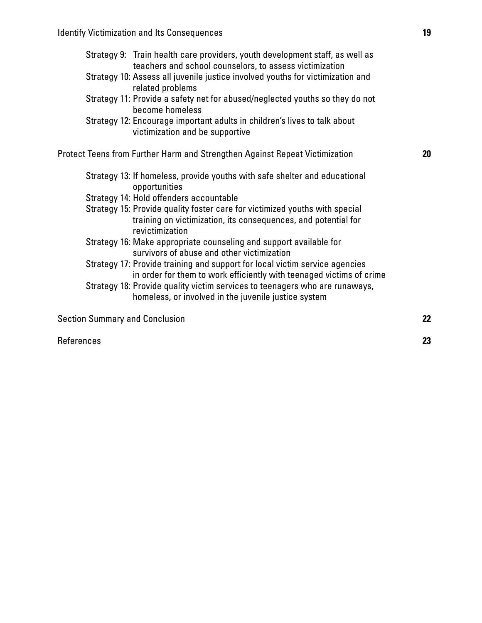- Strategy 10: Assess all juvenile justice involved youths for victimization and related problems
- Strategy 11: Provide a safety net for abused/neglected youths so they do not become homeless
- Strategy 12: Encourage important adults in children's lives to talk about victimization and be supportive

Protect Teens from Further Harm and Strengthen Against Repeat Victimization **20**

- Strategy 13: If homeless, provide youths with safe shelter and educational opportunities
- Strategy 14: Hold offenders accountable
- Strategy 15: Provide quality foster care for victimized youths with special training on victimization, its consequences, and potential for revictimization
- Strategy 16: Make appropriate counseling and support available for survivors of abuse and other victimization
- Strategy 17: Provide training and support for local victim service agencies in order for them to work efficiently with teenaged victims of crime
- Strategy 18: Provide quality victim services to teenagers who are runaways, homeless, or involved in the juvenile justice system

Section Summary and Conclusion **22**

References **23**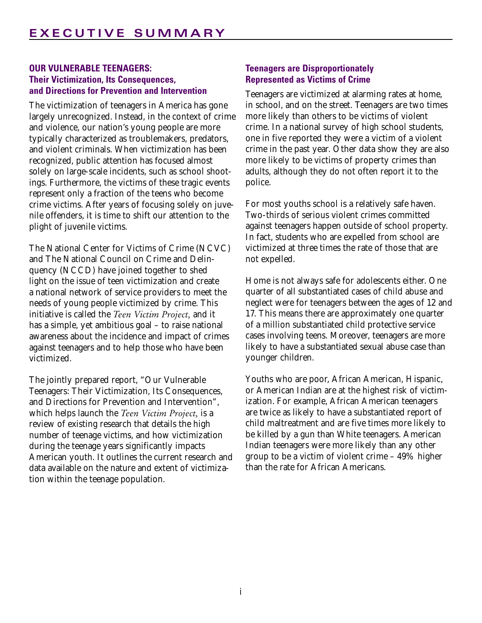# **OUR VULNERABLE TEENAGERS: Their Victimization, Its Consequences, and Directions for Prevention and Intervention**

The victimization of teenagers in America has gone largely unrecognized. Instead, in the context of crime and violence, our nation's young people are more typically characterized as troublemakers, predators, and violent criminals. When victimization has been recognized, public attention has focused almost solely on large-scale incidents, such as school shootings. Furthermore, the victims of these tragic events represent only a fraction of the teens who become crime victims. After years of focusing solely on juvenile offenders, it is time to shift our attention to the plight of juvenile victims.

The National Center for Victims of Crime (NCVC) and The National Council on Crime and Delinquency (NCCD) have joined together to shed light on the issue of teen victimization and create a national network of service providers to meet the needs of young people victimized by crime. This initiative is called the *Teen Victim Project,* and it has a simple, yet ambitious goal – to raise national awareness about the incidence and impact of crimes against teenagers and to help those who have been victimized.

The jointly prepared report, "Our Vulnerable Teenagers: Their Victimization, Its Consequences, and Directions for Prevention and Intervention", which helps launch the *Teen Victim Project,* is a review of existing research that details the high number of teenage victims, and how victimization during the teenage years significantly impacts American youth. It outlines the current research and data available on the nature and extent of victimization within the teenage population.

# **Teenagers are Disproportionately Represented as Victims of Crime**

Teenagers are victimized at alarming rates at home, in school, and on the street. Teenagers are two times more likely than others to be victims of violent crime. In a national survey of high school students, one in five reported they were a victim of a violent crime in the past year. Other data show they are also more likely to be victims of property crimes than adults, although they do not often report it to the police.

For most youths school is a relatively safe haven. Two-thirds of serious violent crimes committed against teenagers happen outside of school property. In fact, students who are expelled from school are victimized at three times the rate of those that are not expelled.

Home is not always safe for adolescents either. One quarter of all substantiated cases of child abuse and neglect were for teenagers between the ages of 12 and 17. This means there are approximately one quarter of a million substantiated child protective service cases involving teens. Moreover, teenagers are more likely to have a substantiated sexual abuse case than younger children.

Youths who are poor, African American, Hispanic, or American Indian are at the highest risk of victimization. For example, African American teenagers are twice as likely to have a substantiated report of child maltreatment and are five times more likely to be killed by a gun than White teenagers. American Indian teenagers were more likely than any other group to be a victim of violent crime – 49% higher than the rate for African Americans.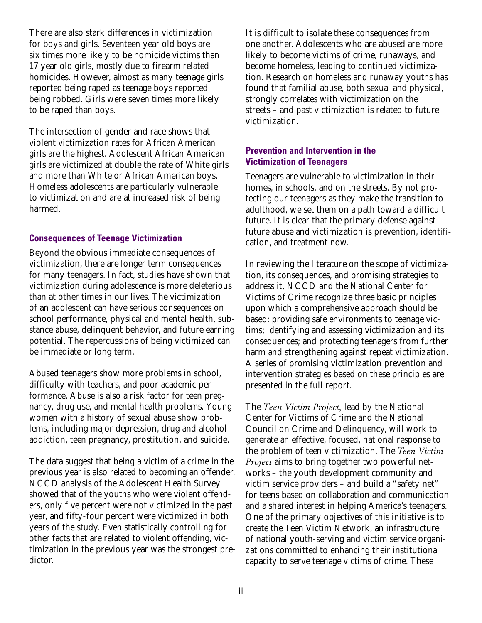There are also stark differences in victimization for boys and girls. Seventeen year old boys are six times more likely to be homicide victims than 17 year old girls, mostly due to firearm related homicides. However, almost as many teenage girls reported being raped as teenage boys reported being robbed. Girls were seven times more likely to be raped than boys.

The intersection of gender and race shows that violent victimization rates for African American girls are the highest. Adolescent African American girls are victimized at double the rate of White girls and more than White or African American boys. Homeless adolescents are particularly vulnerable to victimization and are at increased risk of being harmed.

#### **Consequences of Teenage Victimization**

Beyond the obvious immediate consequences of victimization, there are longer term consequences for many teenagers. In fact, studies have shown that victimization during adolescence is more deleterious than at other times in our lives. The victimization of an adolescent can have serious consequences on school performance, physical and mental health, substance abuse, delinquent behavior, and future earning potential. The repercussions of being victimized can be immediate or long term.

Abused teenagers show more problems in school, difficulty with teachers, and poor academic performance. Abuse is also a risk factor for teen pregnancy, drug use, and mental health problems. Young women with a history of sexual abuse show problems, including major depression, drug and alcohol addiction, teen pregnancy, prostitution, and suicide.

The data suggest that being a victim of a crime in the previous year is also related to becoming an offender. NCCD analysis of the Adolescent Health Survey showed that of the youths who were violent offenders, only five percent were not victimized in the past year, and fifty-four percent were victimized in both years of the study. Even statistically controlling for other facts that are related to violent offending, victimization in the previous year was the strongest predictor.

It is difficult to isolate these consequences from one another. Adolescents who are abused are more likely to become victims of crime, runaways, and become homeless, leading to continued victimization. Research on homeless and runaway youths has found that familial abuse, both sexual and physical, strongly correlates with victimization on the streets – and past victimization is related to future victimization.

# **Prevention and Intervention in the Victimization of Teenagers**

Teenagers are vulnerable to victimization in their homes, in schools, and on the streets. By not protecting our teenagers as they make the transition to adulthood, we set them on a path toward a difficult future. It is clear that the primary defense against future abuse and victimization is prevention, identification, and treatment now.

In reviewing the literature on the scope of victimization, its consequences, and promising strategies to address it, NCCD and the National Center for Victims of Crime recognize three basic principles upon which a comprehensive approach should be based: providing safe environments to teenage victims; identifying and assessing victimization and its consequences; and protecting teenagers from further harm and strengthening against repeat victimization. A series of promising victimization prevention and intervention strategies based on these principles are presented in the full report.

The *Teen Victim Project,* lead by the National Center for Victims of Crime and the National Council on Crime and Delinquency, will work to generate an effective, focused, national response to the problem of teen victimization. The *Teen Victim Project* aims to bring together two powerful networks – the youth development community and victim service providers – and build a "safety net" for teens based on collaboration and communication and a shared interest in helping America's teenagers. One of the primary objectives of this initiative is to create the Teen Victim Network, an infrastructure of national youth-serving and victim service organizations committed to enhancing their institutional capacity to serve teenage victims of crime. These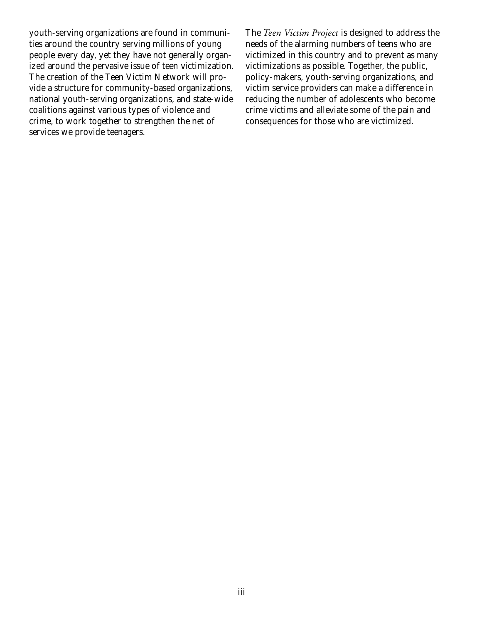youth-serving organizations are found in communities around the country serving millions of young people every day, yet they have not generally organized around the pervasive issue of teen victimization. The creation of the Teen Victim Network will provide a structure for community-based organizations, national youth-serving organizations, and state-wide coalitions against various types of violence and crime, to work together to strengthen the net of services we provide teenagers.

The *Teen Victim Project* is designed to address the needs of the alarming numbers of teens who are victimized in this country and to prevent as many victimizations as possible. Together, the public, policy-makers, youth-serving organizations, and victim service providers can make a difference in reducing the number of adolescents who become crime victims and alleviate some of the pain and consequences for those who are victimized.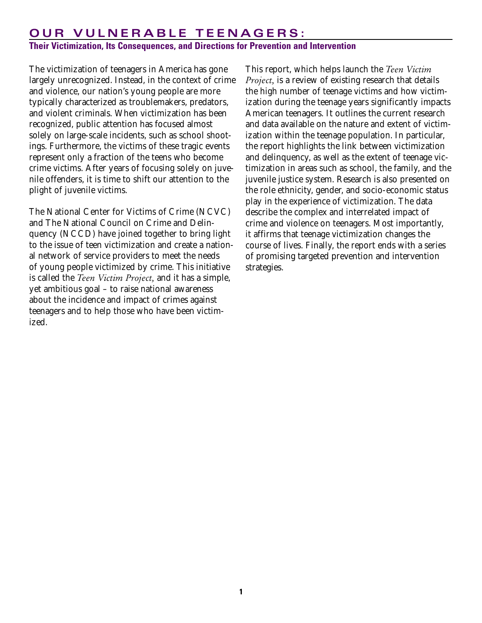# **OUR VULNERABLE TEENAGERS:**

# **Their Victimization, Its Consequences, and Directions for Prevention and Intervention**

The victimization of teenagers in America has gone largely unrecognized. Instead, in the context of crime and violence, our nation's young people are more typically characterized as troublemakers, predators, and violent criminals. When victimization has been recognized, public attention has focused almost solely on large-scale incidents, such as school shootings. Furthermore, the victims of these tragic events represent only a fraction of the teens who become crime victims. After years of focusing solely on juvenile offenders, it is time to shift our attention to the plight of juvenile victims.

The National Center for Victims of Crime (NCVC) and The National Council on Crime and Delinquency (NCCD) have joined together to bring light to the issue of teen victimization and create a national network of service providers to meet the needs of young people victimized by crime. This initiative is called the *Teen Victim Project,* and it has a simple, yet ambitious goal – to raise national awareness about the incidence and impact of crimes against teenagers and to help those who have been victimized.

This report, which helps launch the *Teen Victim Project,* is a review of existing research that details the high number of teenage victims and how victimization during the teenage years significantly impacts American teenagers. It outlines the current research and data available on the nature and extent of victimization within the teenage population. In particular, the report highlights the link between victimization and delinquency, as well as the extent of teenage victimization in areas such as school, the family, and the juvenile justice system. Research is also presented on the role ethnicity, gender, and socio-economic status play in the experience of victimization. The data describe the complex and interrelated impact of crime and violence on teenagers. Most importantly, it affirms that teenage victimization changes the course of lives. Finally, the report ends with a series of promising targeted prevention and intervention strategies.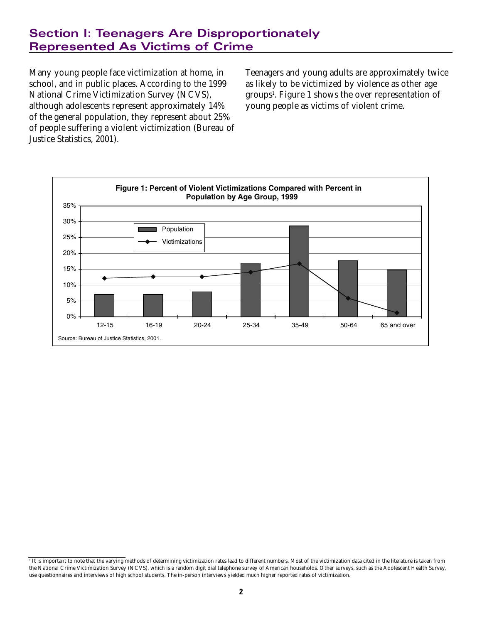# **Section I: Teenagers Are Disproportionately Represented As Victims of Crime**

Many young people face victimization at home, in school, and in public places. According to the 1999 National Crime Victimization Survey (NCVS), although adolescents represent approximately 14% of the general population, they represent about 25% of people suffering a violent victimization (Bureau of Justice Statistics, 2001).

Teenagers and young adults are approximately twice as likely to be victimized by violence as other age groups1 . Figure 1 shows the over representation of young people as victims of violent crime.



It is important to note that the varying methods of determining victimization rates lead to different numbers. Most of the victimization data cited in the literature is taken from the National Crime Victimization Survey (NCVS), which is a random digit dial telephone survey of American households. Other surveys, such as the Adolescent Health Survey, use questionnaires and interviews of high school students. The in-person interviews yielded much higher reported rates of victimization.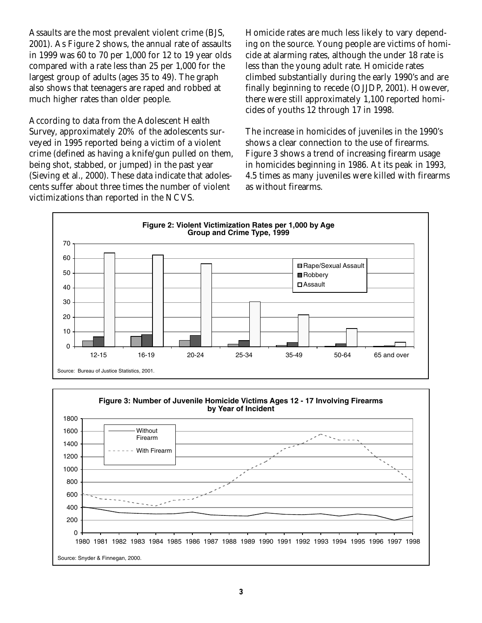Assaults are the most prevalent violent crime (BJS, 2001). As Figure 2 shows, the annual rate of assaults in 1999 was 60 to 70 per 1,000 for 12 to 19 year olds compared with a rate less than 25 per 1,000 for the largest group of adults (ages 35 to 49). The graph also shows that teenagers are raped and robbed at much higher rates than older people.

According to data from the Adolescent Health Survey, approximately 20% of the adolescents surveyed in 1995 reported being a victim of a violent crime (defined as having a knife/gun pulled on them, being shot, stabbed, or jumped) in the past year (Sieving et al., 2000). These data indicate that adolescents suffer about three times the number of violent victimizations than reported in the NCVS.

Homicide rates are much less likely to vary depending on the source. Young people are victims of homicide at alarming rates, although the under 18 rate is less than the young adult rate. Homicide rates climbed substantially during the early 1990's and are finally beginning to recede (OJJDP, 2001). However, there were still approximately 1,100 reported homicides of youths 12 through 17 in 1998.

The increase in homicides of juveniles in the 1990's shows a clear connection to the use of firearms. Figure 3 shows a trend of increasing firearm usage in homicides beginning in 1986. At its peak in 1993, 4.5 times as many juveniles were killed with firearms as without firearms.



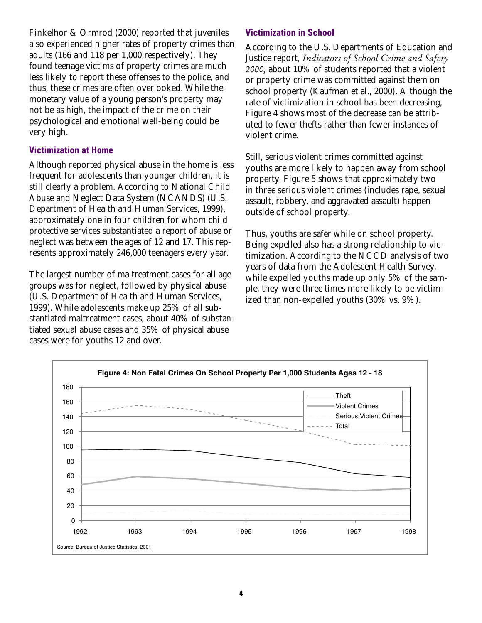Finkelhor & Ormrod (2000) reported that juveniles also experienced higher rates of property crimes than adults (166 and 118 per 1,000 respectively). They found teenage victims of property crimes are much less likely to report these offenses to the police, and thus, these crimes are often overlooked. While the monetary value of a young person's property may not be as high, the impact of the crime on their psychological and emotional well-being could be very high.

#### **Victimization at Home**

Although reported physical abuse in the home is less frequent for adolescents than younger children, it is still clearly a problem. According to National Child Abuse and Neglect Data System (NCANDS) (U.S. Department of Health and Human Services, 1999), approximately one in four children for whom child protective services substantiated a report of abuse or neglect was between the ages of 12 and 17. This represents approximately 246,000 teenagers every year.

The largest number of maltreatment cases for all age groups was for neglect, followed by physical abuse (U.S. Department of Health and Human Services, 1999). While adolescents make up 25% of all substantiated maltreatment cases, about 40% of substantiated sexual abuse cases and 35% of physical abuse cases were for youths 12 and over.

### **Victimization in School**

According to the U.S. Departments of Education and Justice report, *Indicators of School Crime and Safety 2000,* about 10% of students reported that a violent or property crime was committed against them on school property (Kaufman et al., 2000). Although the rate of victimization in school has been decreasing, Figure 4 shows most of the decrease can be attributed to fewer thefts rather than fewer instances of violent crime.

Still, serious violent crimes committed against youths are more likely to happen away from school property. Figure 5 shows that approximately two in three serious violent crimes (includes rape, sexual assault, robbery, and aggravated assault) happen outside of school property.

Thus, youths are safer while on school property. Being expelled also has a strong relationship to victimization. According to the NCCD analysis of two years of data from the Adolescent Health Survey, while expelled youths made up only 5% of the sample, they were three times more likely to be victimized than non-expelled youths (30% vs. 9%).

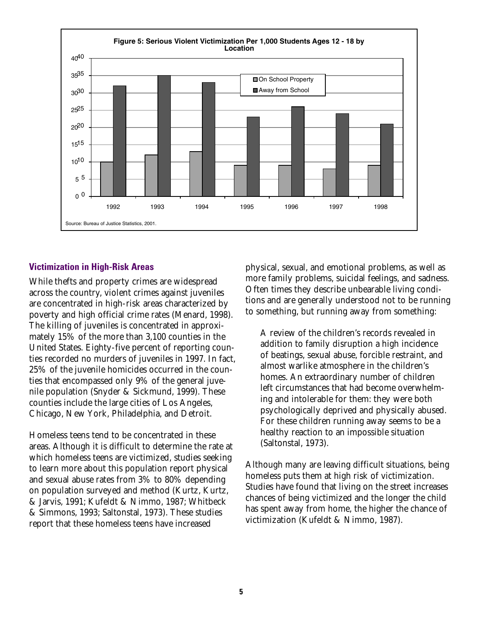

#### **Victimization in High-Risk Areas**

While thefts and property crimes are widespread across the country, violent crimes against juveniles are concentrated in high-risk areas characterized by poverty and high official crime rates (Menard, 1998). The killing of juveniles is concentrated in approximately 15% of the more than 3,100 counties in the United States. Eighty-five percent of reporting counties recorded no murders of juveniles in 1997. In fact, 25% of the juvenile homicides occurred in the counties that encompassed only 9% of the general juvenile population (Snyder & Sickmund, 1999). These counties include the large cities of Los Angeles, Chicago, New York, Philadelphia, and Detroit.

Homeless teens tend to be concentrated in these areas. Although it is difficult to determine the rate at which homeless teens are victimized, studies seeking to learn more about this population report physical and sexual abuse rates from 3% to 80% depending on population surveyed and method (Kurtz, Kurtz, & Jarvis, 1991; Kufeldt & Nimmo, 1987; Whitbeck & Simmons, 1993; Saltonstal, 1973). These studies report that these homeless teens have increased

physical, sexual, and emotional problems, as well as more family problems, suicidal feelings, and sadness. Often times they describe unbearable living conditions and are generally understood not to be running to something, but running away from something:

A review of the children's records revealed in addition to family disruption a high incidence of beatings, sexual abuse, forcible restraint, and almost warlike atmosphere in the children's homes. An extraordinary number of children left circumstances that had become overwhelming and intolerable for them: they were both psychologically deprived and physically abused. For these children running away seems to be a healthy reaction to an impossible situation (Saltonstal, 1973).

Although many are leaving difficult situations, being homeless puts them at high risk of victimization. Studies have found that living on the street increases chances of being victimized and the longer the child has spent away from home, the higher the chance of victimization (Kufeldt & Nimmo, 1987).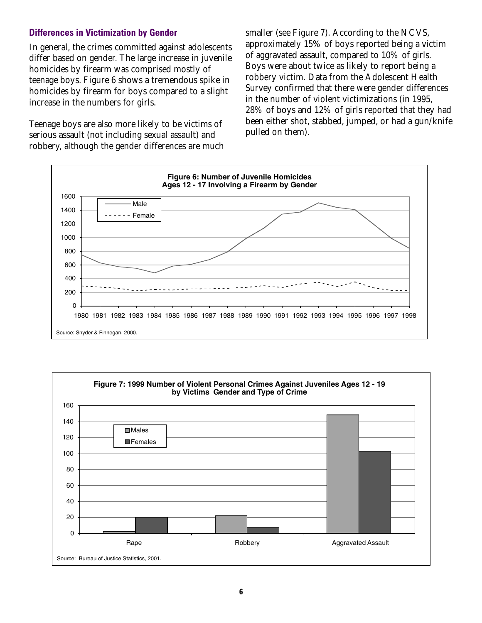# **Differences in Victimization by Gender**

In general, the crimes committed against adolescents differ based on gender. The large increase in juvenile homicides by firearm was comprised mostly of teenage boys. Figure 6 shows a tremendous spike in homicides by firearm for boys compared to a slight increase in the numbers for girls.

Teenage boys are also more likely to be victims of serious assault (not including sexual assault) and robbery, although the gender differences are much smaller (see Figure 7). According to the NCVS, approximately 15% of boys reported being a victim of aggravated assault, compared to 10% of girls. Boys were about twice as likely to report being a robbery victim. Data from the Adolescent Health Survey confirmed that there were gender differences in the number of violent victimizations (in 1995, 28% of boys and 12% of girls reported that they had been either shot, stabbed, jumped, or had a gun/knife pulled on them).



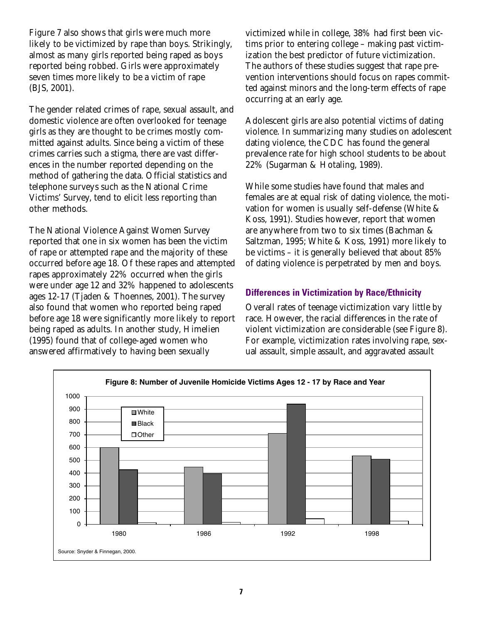Figure 7 also shows that girls were much more likely to be victimized by rape than boys. Strikingly, almost as many girls reported being raped as boys reported being robbed. Girls were approximately seven times more likely to be a victim of rape (BJS, 2001).

The gender related crimes of rape, sexual assault, and domestic violence are often overlooked for teenage girls as they are thought to be crimes mostly committed against adults. Since being a victim of these crimes carries such a stigma, there are vast differences in the number reported depending on the method of gathering the data. Official statistics and telephone surveys such as the National Crime Victims' Survey, tend to elicit less reporting than other methods.

The National Violence Against Women Survey reported that one in six women has been the victim of rape or attempted rape and the majority of these occurred before age 18. Of these rapes and attempted rapes approximately 22% occurred when the girls were under age 12 and 32% happened to adolescents ages 12-17 (Tjaden & Thoennes, 2001). The survey also found that women who reported being raped before age 18 were significantly more likely to report being raped as adults. In another study, Himelien (1995) found that of college-aged women who answered affirmatively to having been sexually

victimized while in college, 38% had first been victims prior to entering college – making past victimization the best predictor of future victimization. The authors of these studies suggest that rape prevention interventions should focus on rapes committed against minors and the long-term effects of rape occurring at an early age.

Adolescent girls are also potential victims of dating violence. In summarizing many studies on adolescent dating violence, the CDC has found the general prevalence rate for high school students to be about 22% (Sugarman & Hotaling, 1989).

While some studies have found that males and females are at equal risk of dating violence, the motivation for women is usually self-defense (White & Koss, 1991). Studies however, report that women are anywhere from two to six times (Bachman & Saltzman, 1995; White & Koss, 1991) more likely to be victims – it is generally believed that about 85% of dating violence is perpetrated by men and boys.

# **Differences in Victimization by Race/Ethnicity**

Overall rates of teenage victimization vary little by race. However, the racial differences in the rate of violent victimization are considerable (see Figure 8). For example, victimization rates involving rape, sexual assault, simple assault, and aggravated assault

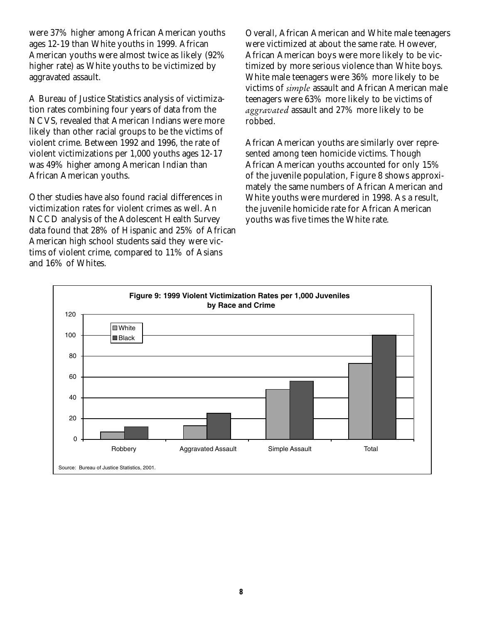were 37% higher among African American youths ages 12-19 than White youths in 1999. African American youths were almost twice as likely (92% higher rate) as White youths to be victimized by aggravated assault.

A Bureau of Justice Statistics analysis of victimization rates combining four years of data from the NCVS, revealed that American Indians were more likely than other racial groups to be the victims of violent crime. Between 1992 and 1996, the rate of violent victimizations per 1,000 youths ages 12-17 was 49% higher among American Indian than African American youths.

Other studies have also found racial differences in victimization rates for violent crimes as well. An NCCD analysis of the Adolescent Health Survey data found that 28% of Hispanic and 25% of African American high school students said they were victims of violent crime, compared to 11% of Asians and 16% of Whites.

Overall, African American and White male teenagers were victimized at about the same rate. However, African American boys were more likely to be victimized by more serious violence than White boys. White male teenagers were 36% more likely to be victims of *simple* assault and African American male teenagers were 63% more likely to be victims of *aggravated* assault and 27% more likely to be robbed.

African American youths are similarly over represented among teen homicide victims. Though African American youths accounted for only 15% of the juvenile population, Figure 8 shows approximately the same numbers of African American and White youths were murdered in 1998. As a result, the juvenile homicide rate for African American youths was five times the White rate.

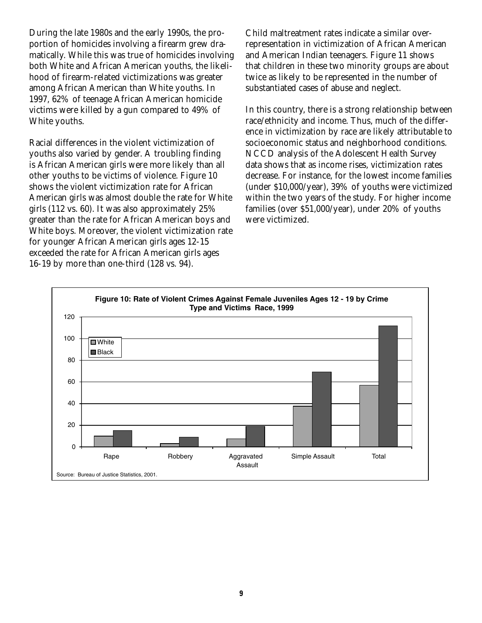During the late 1980s and the early 1990s, the proportion of homicides involving a firearm grew dramatically. While this was true of homicides involving both White and African American youths, the likelihood of firearm-related victimizations was greater among African American than White youths. In 1997, 62% of teenage African American homicide victims were killed by a gun compared to 49% of White youths.

Racial differences in the violent victimization of youths also varied by gender. A troubling finding is African American girls were more likely than all other youths to be victims of violence. Figure 10 shows the violent victimization rate for African American girls was almost double the rate for White girls (112 vs. 60). It was also approximately 25% greater than the rate for African American boys and White boys. Moreover, the violent victimization rate for younger African American girls ages 12-15 exceeded the rate for African American girls ages 16-19 by more than one-third (128 vs. 94).

Child maltreatment rates indicate a similar overrepresentation in victimization of African American and American Indian teenagers. Figure 11 shows that children in these two minority groups are about twice as likely to be represented in the number of substantiated cases of abuse and neglect.

In this country, there is a strong relationship between race/ethnicity and income. Thus, much of the difference in victimization by race are likely attributable to socioeconomic status and neighborhood conditions. NCCD analysis of the Adolescent Health Survey data shows that as income rises, victimization rates decrease. For instance, for the lowest income families (under \$10,000/year), 39% of youths were victimized within the two years of the study. For higher income families (over \$51,000/year), under 20% of youths were victimized.

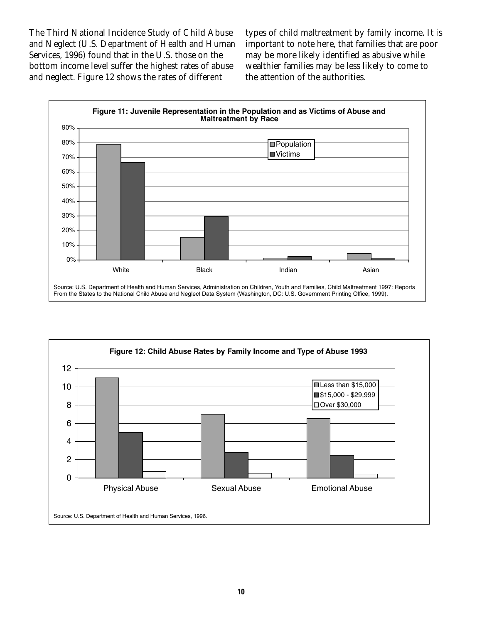The Third National Incidence Study of Child Abuse and Neglect (U.S. Department of Health and Human Services, 1996) found that in the U.S. those on the bottom income level suffer the highest rates of abuse and neglect. Figure 12 shows the rates of different

types of child maltreatment by family income. It is important to note here, that families that are poor may be more likely identified as abusive while wealthier families may be less likely to come to the attention of the authorities.



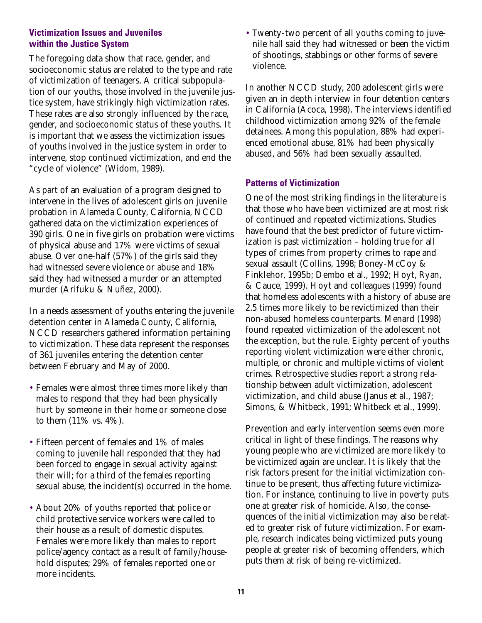### **Victimization Issues and Juveniles within the Justice System**

The foregoing data show that race, gender, and socioeconomic status are related to the type and rate of victimization of teenagers. A critical subpopulation of our youths, those involved in the juvenile justice system, have strikingly high victimization rates. These rates are also strongly influenced by the race, gender, and socioeconomic status of these youths. It is important that we assess the victimization issues of youths involved in the justice system in order to intervene, stop continued victimization, and end the "cycle of violence" (Widom, 1989).

As part of an evaluation of a program designed to intervene in the lives of adolescent girls on juvenile probation in Alameda County, California, NCCD gathered data on the victimization experiences of 390 girls. One in five girls on probation were victims of physical abuse and 17% were victims of sexual abuse. Over one-half (57%) of the girls said they had witnessed severe violence or abuse and 18% said they had witnessed a murder or an attempted murder (Arifuku & Nuñez, 2000).

In a needs assessment of youths entering the juvenile detention center in Alameda County, California, NCCD researchers gathered information pertaining to victimization. These data represent the responses of 361 juveniles entering the detention center between February and May of 2000.

- Females were almost three times more likely than males to respond that they had been physically hurt by someone in their home or someone close to them (11% vs. 4%).
- Fifteen percent of females and 1% of males coming to juvenile hall responded that they had been forced to engage in sexual activity against their will; for a third of the females reporting sexual abuse, the incident(s) occurred in the home.
- About 20% of youths reported that police or child protective service workers were called to their house as a result of domestic disputes. Females were more likely than males to report police/agency contact as a result of family/household disputes; 29% of females reported one or more incidents.

• Twenty-two percent of all youths coming to juvenile hall said they had witnessed or been the victim of shootings, stabbings or other forms of severe violence.

In another NCCD study, 200 adolescent girls were given an in depth interview in four detention centers in California (Acoca, 1998). The interviews identified childhood victimization among 92% of the female detainees. Among this population, 88% had experienced emotional abuse, 81% had been physically abused, and 56% had been sexually assaulted.

### **Patterns of Victimization**

One of the most striking findings in the literature is that those who have been victimized are at most risk of continued and repeated victimizations. Studies have found that the best predictor of future victimization is past victimization – holding true for all types of crimes from property crimes to rape and sexual assault (Collins, 1998; Boney-McCoy & Finklehor, 1995b; Dembo et al., 1992; Hoyt, Ryan, & Cauce, 1999). Hoyt and colleagues (1999) found that homeless adolescents with a history of abuse are 2.5 times more likely to be revictimized than their non-abused homeless counterparts. Menard (1998) found repeated victimization of the adolescent not the exception, but the rule. Eighty percent of youths reporting violent victimization were either chronic, multiple, or chronic and multiple victims of violent crimes. Retrospective studies report a strong relationship between adult victimization, adolescent victimization, and child abuse (Janus et al., 1987; Simons, & Whitbeck, 1991; Whitbeck et al., 1999).

Prevention and early intervention seems even more critical in light of these findings. The reasons why young people who are victimized are more likely to be victimized again are unclear. It is likely that the risk factors present for the initial victimization continue to be present, thus affecting future victimization. For instance, continuing to live in poverty puts one at greater risk of homicide. Also, the consequences of the initial victimization may also be related to greater risk of future victimization. For example, research indicates being victimized puts young people at greater risk of becoming offenders, which puts them at risk of being re-victimized.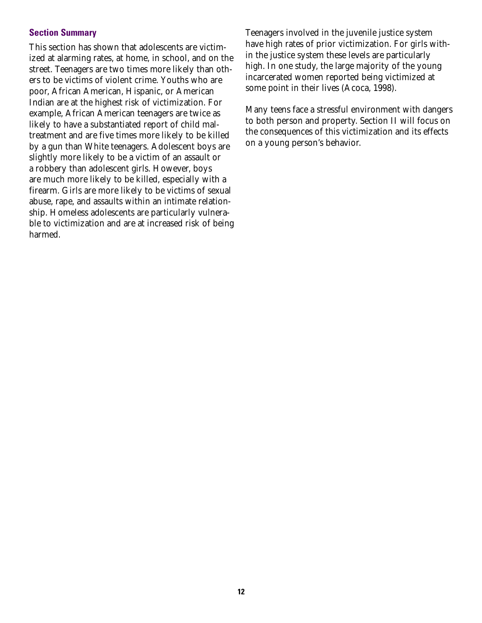### **Section Summary**

This section has shown that adolescents are victimized at alarming rates, at home, in school, and on the street. Teenagers are two times more likely than others to be victims of violent crime. Youths who are poor, African American, Hispanic, or American Indian are at the highest risk of victimization. For example, African American teenagers are twice as likely to have a substantiated report of child maltreatment and are five times more likely to be killed by a gun than White teenagers. Adolescent boys are slightly more likely to be a victim of an assault or a robbery than adolescent girls. However, boys are much more likely to be killed, especially with a firearm. Girls are more likely to be victims of sexual abuse, rape, and assaults within an intimate relationship. Homeless adolescents are particularly vulnerable to victimization and are at increased risk of being harmed.

Teenagers involved in the juvenile justice system have high rates of prior victimization. For girls within the justice system these levels are particularly high. In one study, the large majority of the young incarcerated women reported being victimized at some point in their lives (Acoca, 1998).

Many teens face a stressful environment with dangers to both person and property. Section II will focus on the consequences of this victimization and its effects on a young person's behavior.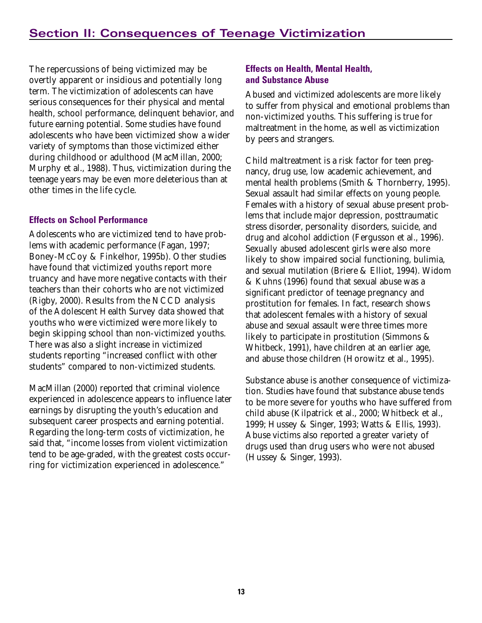The repercussions of being victimized may be overtly apparent or insidious and potentially long term. The victimization of adolescents can have serious consequences for their physical and mental health, school performance, delinquent behavior, and future earning potential. Some studies have found adolescents who have been victimized show a wider variety of symptoms than those victimized either during childhood or adulthood (MacMillan, 2000; Murphy et al., 1988). Thus, victimization during the teenage years may be even more deleterious than at other times in the life cycle.

# **Effects on School Performance**

Adolescents who are victimized tend to have problems with academic performance (Fagan, 1997; Boney-McCoy & Finkelhor, 1995b). Other studies have found that victimized youths report more truancy and have more negative contacts with their teachers than their cohorts who are not victimized (Rigby, 2000). Results from the NCCD analysis of the Adolescent Health Survey data showed that youths who were victimized were more likely to begin skipping school than non-victimized youths. There was also a slight increase in victimized students reporting "increased conflict with other students" compared to non-victimized students.

MacMillan (2000) reported that criminal violence experienced in adolescence appears to influence later earnings by disrupting the youth's education and subsequent career prospects and earning potential. Regarding the long-term costs of victimization, he said that, "income losses from violent victimization tend to be age-graded, with the greatest costs occurring for victimization experienced in adolescence."

# **Effects on Health, Mental Health, and Substance Abuse**

Abused and victimized adolescents are more likely to suffer from physical and emotional problems than non-victimized youths. This suffering is true for maltreatment in the home, as well as victimization by peers and strangers.

Child maltreatment is a risk factor for teen pregnancy, drug use, low academic achievement, and mental health problems (Smith & Thornberry, 1995). Sexual assault had similar effects on young people. Females with a history of sexual abuse present problems that include major depression, posttraumatic stress disorder, personality disorders, suicide, and drug and alcohol addiction (Fergusson et al., 1996). Sexually abused adolescent girls were also more likely to show impaired social functioning, bulimia, and sexual mutilation (Briere & Elliot, 1994). Widom & Kuhns (1996) found that sexual abuse was a significant predictor of teenage pregnancy and prostitution for females. In fact, research shows that adolescent females with a history of sexual abuse and sexual assault were three times more likely to participate in prostitution (Simmons & Whitbeck, 1991), have children at an earlier age, and abuse those children (Horowitz et al., 1995).

Substance abuse is another consequence of victimization. Studies have found that substance abuse tends to be more severe for youths who have suffered from child abuse (Kilpatrick et al., 2000; Whitbeck et al., 1999; Hussey & Singer, 1993; Watts & Ellis, 1993). Abuse victims also reported a greater variety of drugs used than drug users who were not abused (Hussey & Singer, 1993).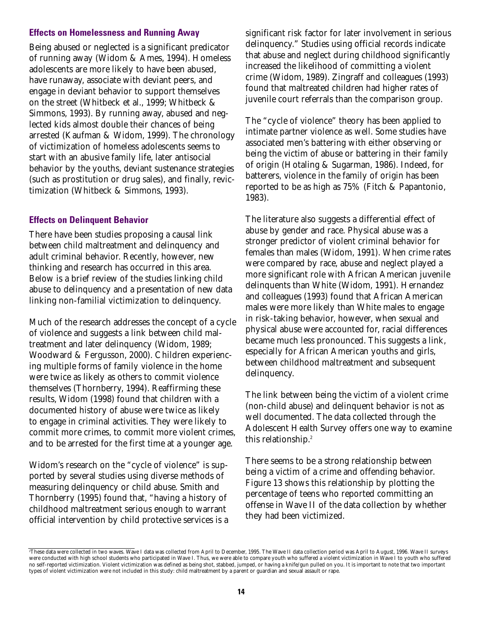#### **Effects on Homelessness and Running Away**

Being abused or neglected is a significant predicator of running away (Widom & Ames, 1994). Homeless adolescents are more likely to have been abused, have runaway, associate with deviant peers, and engage in deviant behavior to support themselves on the street (Whitbeck et al., 1999; Whitbeck & Simmons, 1993). By running away, abused and neglected kids almost double their chances of being arrested (Kaufman & Widom, 1999). The chronology of victimization of homeless adolescents seems to start with an abusive family life, later antisocial behavior by the youths, deviant sustenance strategies (such as prostitution or drug sales), and finally, revictimization (Whitbeck & Simmons, 1993).

### **Effects on Delinquent Behavior**

There have been studies proposing a causal link between child maltreatment and delinquency and adult criminal behavior. Recently, however, new thinking and research has occurred in this area. Below is a brief review of the studies linking child abuse to delinquency and a presentation of new data linking non-familial victimization to delinquency.

Much of the research addresses the concept of a cycle of violence and suggests a link between child maltreatment and later delinquency (Widom, 1989; Woodward & Fergusson, 2000). Children experiencing multiple forms of family violence in the home were twice as likely as others to commit violence themselves (Thornberry, 1994). Reaffirming these results, Widom (1998) found that children with a documented history of abuse were twice as likely to engage in criminal activities. They were likely to commit more crimes, to commit more violent crimes, and to be arrested for the first time at a younger age.

Widom's research on the "cycle of violence" is supported by several studies using diverse methods of measuring delinquency or child abuse. Smith and Thornberry (1995) found that, "having a history of childhood maltreatment serious enough to warrant official intervention by child protective services is a

significant risk factor for later involvement in serious delinquency." Studies using official records indicate that abuse and neglect during childhood significantly increased the likelihood of committing a violent crime (Widom, 1989). Zingraff and colleagues (1993) found that maltreated children had higher rates of juvenile court referrals than the comparison group.

The "cycle of violence" theory has been applied to intimate partner violence as well. Some studies have associated men's battering with either observing or being the victim of abuse or battering in their family of origin (Hotaling & Sugarman, 1986). Indeed, for batterers, violence in the family of origin has been reported to be as high as 75% (Fitch & Papantonio, 1983).

The literature also suggests a differential effect of abuse by gender and race. Physical abuse was a stronger predictor of violent criminal behavior for females than males (Widom, 1991). When crime rates were compared by race, abuse and neglect played a more significant role with African American juvenile delinquents than White (Widom, 1991). Hernandez and colleagues (1993) found that African American males were more likely than White males to engage in risk-taking behavior, however, when sexual and physical abuse were accounted for, racial differences became much less pronounced. This suggests a link, especially for African American youths and girls, between childhood maltreatment and subsequent delinquency.

The link between being the victim of a violent crime (non-child abuse) and delinquent behavior is not as well documented. The data collected through the Adolescent Health Survey offers one way to examine this relationship.<sup>2</sup>

There seems to be a strong relationship between being a victim of a crime and offending behavior. Figure 13 shows this relationship by plotting the percentage of teens who reported committing an offense in Wave II of the data collection by whether they had been victimized.

<sup>2</sup> These data were collected in two waves. Wave I data was collected from April to December, 1995. The Wave II data collection period was April to August, 1996. Wave II surveys were conducted with high school students who participated in Wave I. Thus, we were able to compare youth who suffered a violent victimization in Wave I to youth who suffered no self-reported victimization. Violent victimization was defined as being shot, stabbed, jumped, or having a knife/gun pulled on you. It is important to note that two important types of violent victimization were not included in this study: child maltreatment by a parent or guardian and sexual assault or rape.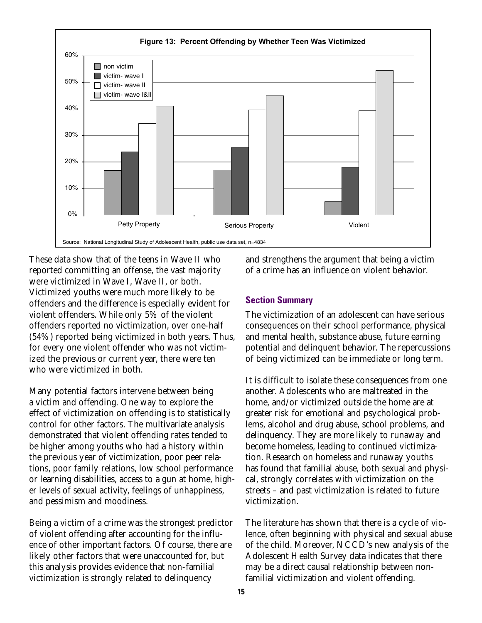

These data show that of the teens in Wave II who reported committing an offense, the vast majority were victimized in Wave I, Wave II, or both. Victimized youths were much more likely to be offenders and the difference is especially evident for violent offenders. While only 5% of the violent offenders reported no victimization, over one-half (54%) reported being victimized in both years. Thus, for every one violent offender who was not victimized the previous or current year, there were ten who were victimized in both.

Many potential factors intervene between being a victim and offending. One way to explore the effect of victimization on offending is to statistically control for other factors. The multivariate analysis demonstrated that violent offending rates tended to be higher among youths who had a history within the previous year of victimization, poor peer relations, poor family relations, low school performance or learning disabilities, access to a gun at home, higher levels of sexual activity, feelings of unhappiness, and pessimism and moodiness.

Being a victim of a crime was the strongest predictor of violent offending after accounting for the influence of other important factors. Of course, there are likely other factors that were unaccounted for, but this analysis provides evidence that non-familial victimization is strongly related to delinquency

and strengthens the argument that being a victim of a crime has an influence on violent behavior.

#### **Section Summary**

The victimization of an adolescent can have serious consequences on their school performance, physical and mental health, substance abuse, future earning potential and delinquent behavior. The repercussions of being victimized can be immediate or long term.

It is difficult to isolate these consequences from one another. Adolescents who are maltreated in the home, and/or victimized outside the home are at greater risk for emotional and psychological problems, alcohol and drug abuse, school problems, and delinquency. They are more likely to runaway and become homeless, leading to continued victimization. Research on homeless and runaway youths has found that familial abuse, both sexual and physical, strongly correlates with victimization on the streets – and past victimization is related to future victimization.

The literature has shown that there is a cycle of violence, often beginning with physical and sexual abuse of the child. Moreover, NCCD's new analysis of the Adolescent Health Survey data indicates that there may be a direct causal relationship between nonfamilial victimization and violent offending.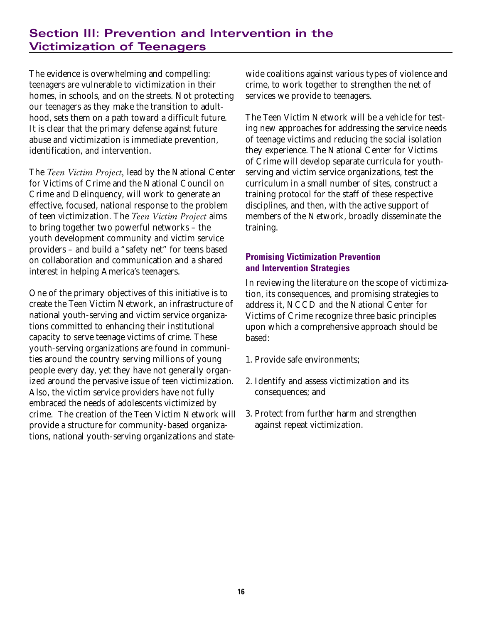# **Section III: Prevention and Intervention in the Victimization of Teenagers**

The evidence is overwhelming and compelling: teenagers are vulnerable to victimization in their homes, in schools, and on the streets. Not protecting our teenagers as they make the transition to adulthood, sets them on a path toward a difficult future. It is clear that the primary defense against future abuse and victimization is immediate prevention, identification, and intervention.

The *Teen Victim Project,* lead by the National Center for Victims of Crime and the National Council on Crime and Delinquency, will work to generate an effective, focused, national response to the problem of teen victimization. The *Teen Victim Project* aims to bring together two powerful networks – the youth development community and victim service providers – and build a "safety net" for teens based on collaboration and communication and a shared interest in helping America's teenagers.

One of the primary objectives of this initiative is to create the Teen Victim Network, an infrastructure of national youth-serving and victim service organizations committed to enhancing their institutional capacity to serve teenage victims of crime. These youth-serving organizations are found in communities around the country serving millions of young people every day, yet they have not generally organized around the pervasive issue of teen victimization. Also, the victim service providers have not fully embraced the needs of adolescents victimized by crime. The creation of the Teen Victim Network will provide a structure for community-based organizations, national youth-serving organizations and state-

wide coalitions against various types of violence and crime, to work together to strengthen the net of services we provide to teenagers.

The Teen Victim Network will be a vehicle for testing new approaches for addressing the service needs of teenage victims and reducing the social isolation they experience. The National Center for Victims of Crime will develop separate curricula for youthserving and victim service organizations, test the curriculum in a small number of sites, construct a training protocol for the staff of these respective disciplines, and then, with the active support of members of the Network, broadly disseminate the training.

# **Promising Victimization Prevention and Intervention Strategies**

In reviewing the literature on the scope of victimization, its consequences, and promising strategies to address it, NCCD and the National Center for Victims of Crime recognize three basic principles upon which a comprehensive approach should be based:

- 1. Provide safe environments;
- 2. Identify and assess victimization and its consequences; and
- 3. Protect from further harm and strengthen against repeat victimization.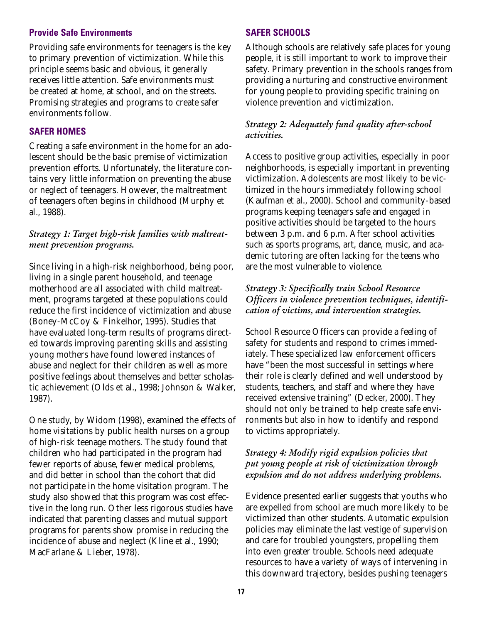#### **Provide Safe Environments**

Providing safe environments for teenagers is the key to primary prevention of victimization. While this principle seems basic and obvious, it generally receives little attention. Safe environments must be created at home, at school, and on the streets. Promising strategies and programs to create safer environments follow.

### **SAFER HOMES**

Creating a safe environment in the home for an adolescent should be the basic premise of victimization prevention efforts. Unfortunately, the literature contains very little information on preventing the abuse or neglect of teenagers. However, the maltreatment of teenagers often begins in childhood (Murphy et al., 1988).

### *Strategy 1: Target high-risk families with maltreatment prevention programs.*

Since living in a high-risk neighborhood, being poor, living in a single parent household, and teenage motherhood are all associated with child maltreatment, programs targeted at these populations could reduce the first incidence of victimization and abuse (Boney-McCoy & Finkelhor, 1995). Studies that have evaluated long-term results of programs directed towards improving parenting skills and assisting young mothers have found lowered instances of abuse and neglect for their children as well as more positive feelings about themselves and better scholastic achievement (Olds et al., 1998; Johnson & Walker, 1987).

One study, by Widom (1998), examined the effects of home visitations by public health nurses on a group of high-risk teenage mothers. The study found that children who had participated in the program had fewer reports of abuse, fewer medical problems, and did better in school than the cohort that did not participate in the home visitation program. The study also showed that this program was cost effective in the long run. Other less rigorous studies have indicated that parenting classes and mutual support programs for parents show promise in reducing the incidence of abuse and neglect (Kline et al., 1990; MacFarlane & Lieber, 1978).

# **SAFER SCHOOLS**

Although schools are relatively safe places for young people, it is still important to work to improve their safety. Primary prevention in the schools ranges from providing a nurturing and constructive environment for young people to providing specific training on violence prevention and victimization.

### *Strategy 2: Adequately fund quality after-school activities.*

Access to positive group activities, especially in poor neighborhoods, is especially important in preventing victimization. Adolescents are most likely to be victimized in the hours immediately following school (Kaufman et al., 2000). School and community-based programs keeping teenagers safe and engaged in positive activities should be targeted to the hours between 3 p.m. and 6 p.m. After school activities such as sports programs, art, dance, music, and academic tutoring are often lacking for the teens who are the most vulnerable to violence.

*Strategy 3: Specifically train School Resource Officers in violence prevention techniques, identification of victims, and intervention strategies.*

School Resource Officers can provide a feeling of safety for students and respond to crimes immediately. These specialized law enforcement officers have "been the most successful in settings where their role is clearly defined and well understood by students, teachers, and staff and where they have received extensive training" (Decker, 2000). They should not only be trained to help create safe environments but also in how to identify and respond to victims appropriately.

# *Strategy 4: Modify rigid expulsion policies that put young people at risk of victimization through expulsion and do not address underlying problems.*

Evidence presented earlier suggests that youths who are expelled from school are much more likely to be victimized than other students. Automatic expulsion policies may eliminate the last vestige of supervision and care for troubled youngsters, propelling them into even greater trouble. Schools need adequate resources to have a variety of ways of intervening in this downward trajectory, besides pushing teenagers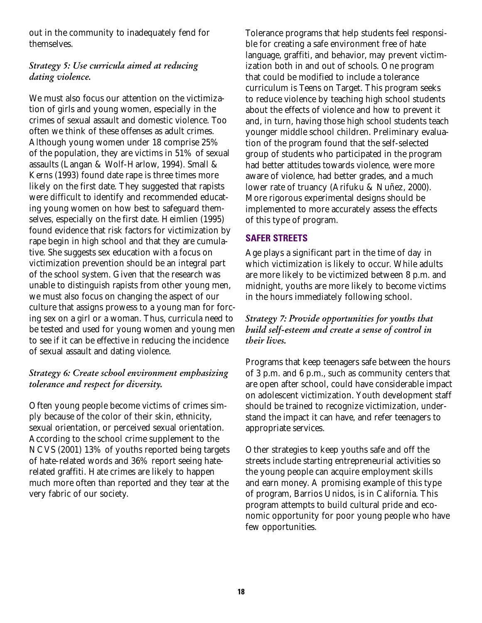out in the community to inadequately fend for themselves.

# *Strategy 5: Use curricula aimed at reducing dating violence.*

We must also focus our attention on the victimization of girls and young women, especially in the crimes of sexual assault and domestic violence. Too often we think of these offenses as adult crimes. Although young women under 18 comprise 25% of the population, they are victims in 51% of sexual assaults (Langan & Wolf-Harlow, 1994). Small & Kerns (1993) found date rape is three times more likely on the first date. They suggested that rapists were difficult to identify and recommended educating young women on how best to safeguard themselves, especially on the first date. Heimlien (1995) found evidence that risk factors for victimization by rape begin in high school and that they are cumulative. She suggests sex education with a focus on victimization prevention should be an integral part of the school system. Given that the research was unable to distinguish rapists from other young men, we must also focus on changing the aspect of our culture that assigns prowess to a young man for forcing sex on a girl or a woman. Thus, curricula need to be tested and used for young women and young men to see if it can be effective in reducing the incidence of sexual assault and dating violence.

# *Strategy 6: Create school environment emphasizing tolerance and respect for diversity.*

Often young people become victims of crimes simply because of the color of their skin, ethnicity, sexual orientation, or perceived sexual orientation. According to the school crime supplement to the NCVS (2001) 13% of youths reported being targets of hate-related words and 36% report seeing haterelated graffiti. Hate crimes are likely to happen much more often than reported and they tear at the very fabric of our society.

Tolerance programs that help students feel responsible for creating a safe environment free of hate language, graffiti, and behavior, may prevent victimization both in and out of schools. One program that could be modified to include a tolerance curriculum is Teens on Target. This program seeks to reduce violence by teaching high school students about the effects of violence and how to prevent it and, in turn, having those high school students teach younger middle school children. Preliminary evaluation of the program found that the self-selected group of students who participated in the program had better attitudes towards violence, were more aware of violence, had better grades, and a much lower rate of truancy (Arifuku & Nuñez, 2000). More rigorous experimental designs should be implemented to more accurately assess the effects of this type of program.

# **SAFER STREETS**

Age plays a significant part in the time of day in which victimization is likely to occur. While adults are more likely to be victimized between 8 p.m. and midnight, youths are more likely to become victims in the hours immediately following school.

# *Strategy 7: Provide opportunities for youths that build self-esteem and create a sense of control in their lives.*

Programs that keep teenagers safe between the hours of 3 p.m. and 6 p.m., such as community centers that are open after school, could have considerable impact on adolescent victimization. Youth development staff should be trained to recognize victimization, understand the impact it can have, and refer teenagers to appropriate services.

Other strategies to keep youths safe and off the streets include starting entrepreneurial activities so the young people can acquire employment skills and earn money. A promising example of this type of program, Barrios Unidos, is in California. This program attempts to build cultural pride and economic opportunity for poor young people who have few opportunities.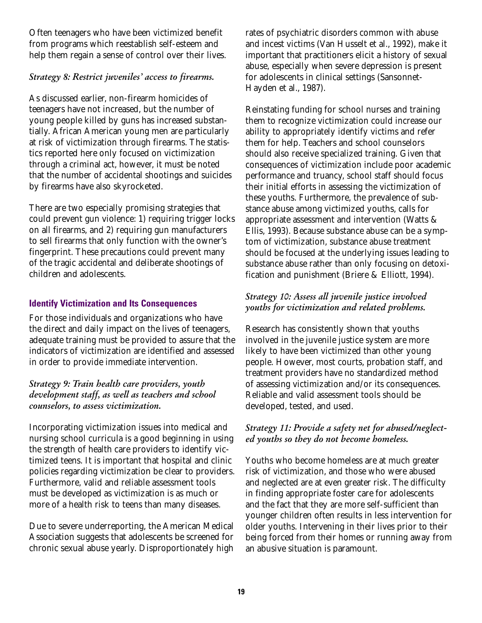Often teenagers who have been victimized benefit from programs which reestablish self-esteem and help them regain a sense of control over their lives.

# *Strategy 8: Restrict juveniles' access to firearms.*

As discussed earlier, non-firearm homicides of teenagers have not increased, but the number of young people killed by guns has increased substantially. African American young men are particularly at risk of victimization through firearms. The statistics reported here only focused on victimization through a criminal act, however, it must be noted that the number of accidental shootings and suicides by firearms have also skyrocketed.

There are two especially promising strategies that could prevent gun violence: 1) requiring trigger locks on all firearms, and 2) requiring gun manufacturers to sell firearms that only function with the owner's fingerprint. These precautions could prevent many of the tragic accidental and deliberate shootings of children and adolescents.

# **Identify Victimization and Its Consequences**

For those individuals and organizations who have the direct and daily impact on the lives of teenagers, adequate training must be provided to assure that the indicators of victimization are identified and assessed in order to provide immediate intervention.

*Strategy 9: Train health care providers, youth development staff, as well as teachers and school counselors, to assess victimization.* 

Incorporating victimization issues into medical and nursing school curricula is a good beginning in using the strength of health care providers to identify victimized teens. It is important that hospital and clinic policies regarding victimization be clear to providers. Furthermore, valid and reliable assessment tools must be developed as victimization is as much or more of a health risk to teens than many diseases.

Due to severe underreporting, the American Medical Association suggests that adolescents be screened for chronic sexual abuse yearly. Disproportionately high rates of psychiatric disorders common with abuse and incest victims (Van Husselt et al., 1992), make it important that practitioners elicit a history of sexual abuse, especially when severe depression is present for adolescents in clinical settings (Sansonnet-Hayden et al., 1987).

Reinstating funding for school nurses and training them to recognize victimization could increase our ability to appropriately identify victims and refer them for help. Teachers and school counselors should also receive specialized training. Given that consequences of victimization include poor academic performance and truancy, school staff should focus their initial efforts in assessing the victimization of these youths. Furthermore, the prevalence of substance abuse among victimized youths, calls for appropriate assessment and intervention (Watts & Ellis, 1993). Because substance abuse can be a symptom of victimization, substance abuse treatment should be focused at the underlying issues leading to substance abuse rather than only focusing on detoxification and punishment (Briere & Elliott, 1994).

# *Strategy 10: Assess all juvenile justice involved youths for victimization and related problems.*

Research has consistently shown that youths involved in the juvenile justice system are more likely to have been victimized than other young people. However, most courts, probation staff, and treatment providers have no standardized method of assessing victimization and/or its consequences. Reliable and valid assessment tools should be developed, tested, and used.

# *Strategy 11: Provide a safety net for abused/neglected youths so they do not become homeless.*

Youths who become homeless are at much greater risk of victimization, and those who were abused and neglected are at even greater risk. The difficulty in finding appropriate foster care for adolescents and the fact that they are more self-sufficient than younger children often results in less intervention for older youths. Intervening in their lives prior to their being forced from their homes or running away from an abusive situation is paramount.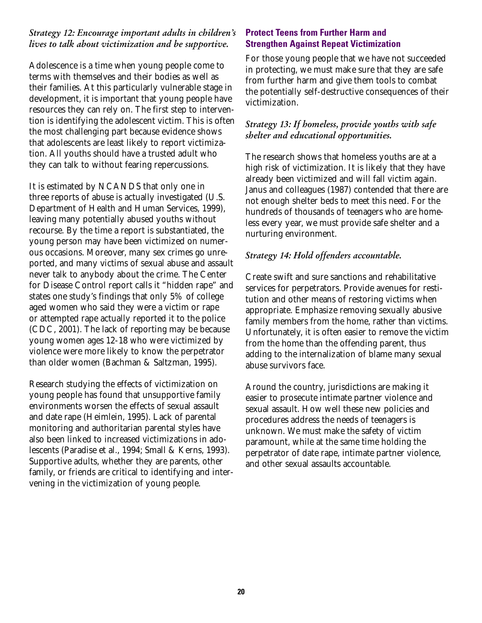# *Strategy 12: Encourage important adults in children's lives to talk about victimization and be supportive.*

Adolescence is a time when young people come to terms with themselves and their bodies as well as their families. At this particularly vulnerable stage in development, it is important that young people have resources they can rely on. The first step to intervention is identifying the adolescent victim. This is often the most challenging part because evidence shows that adolescents are least likely to report victimization. All youths should have a trusted adult who they can talk to without fearing repercussions.

It is estimated by NCANDS that only one in three reports of abuse is actually investigated (U.S. Department of Health and Human Services, 1999), leaving many potentially abused youths without recourse. By the time a report is substantiated, the young person may have been victimized on numerous occasions. Moreover, many sex crimes go unreported, and many victims of sexual abuse and assault never talk to anybody about the crime. The Center for Disease Control report calls it "hidden rape" and states one study's findings that only 5% of college aged women who said they were a victim or rape or attempted rape actually reported it to the police (CDC, 2001). The lack of reporting may be because young women ages 12-18 who were victimized by violence were more likely to know the perpetrator than older women (Bachman & Saltzman, 1995).

Research studying the effects of victimization on young people has found that unsupportive family environments worsen the effects of sexual assault and date rape (Heimlein, 1995). Lack of parental monitoring and authoritarian parental styles have also been linked to increased victimizations in adolescents (Paradise et al., 1994; Small & Kerns, 1993). Supportive adults, whether they are parents, other family, or friends are critical to identifying and intervening in the victimization of young people.

# **Protect Teens from Further Harm and Strengthen Against Repeat Victimization**

For those young people that we have not succeeded in protecting, we must make sure that they are safe from further harm and give them tools to combat the potentially self-destructive consequences of their victimization.

# *Strategy 13: If homeless, provide youths with safe shelter and educational opportunities.*

The research shows that homeless youths are at a high risk of victimization. It is likely that they have already been victimized and will fall victim again. Janus and colleagues (1987) contended that there are not enough shelter beds to meet this need. For the hundreds of thousands of teenagers who are homeless every year, we must provide safe shelter and a nurturing environment.

# *Strategy 14: Hold offenders accountable.*

Create swift and sure sanctions and rehabilitative services for perpetrators. Provide avenues for restitution and other means of restoring victims when appropriate. Emphasize removing sexually abusive family members from the home, rather than victims. Unfortunately, it is often easier to remove the victim from the home than the offending parent, thus adding to the internalization of blame many sexual abuse survivors face.

Around the country, jurisdictions are making it easier to prosecute intimate partner violence and sexual assault. How well these new policies and procedures address the needs of teenagers is unknown. We must make the safety of victim paramount, while at the same time holding the perpetrator of date rape, intimate partner violence, and other sexual assaults accountable.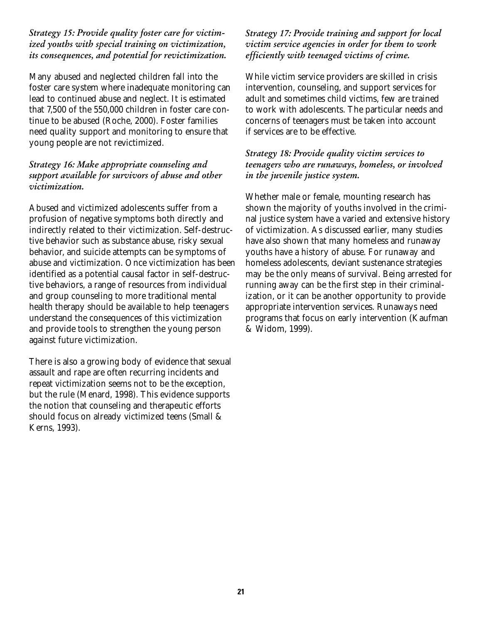*Strategy 15: Provide quality foster care for victimized youths with special training on victimization, its consequences, and potential for revictimization.*

Many abused and neglected children fall into the foster care system where inadequate monitoring can lead to continued abuse and neglect. It is estimated that 7,500 of the 550,000 children in foster care continue to be abused (Roche, 2000). Foster families need quality support and monitoring to ensure that young people are not revictimized.

*Strategy 16: Make appropriate counseling and support available for survivors of abuse and other victimization.* 

Abused and victimized adolescents suffer from a profusion of negative symptoms both directly and indirectly related to their victimization. Self-destructive behavior such as substance abuse, risky sexual behavior, and suicide attempts can be symptoms of abuse and victimization. Once victimization has been identified as a potential causal factor in self-destructive behaviors, a range of resources from individual and group counseling to more traditional mental health therapy should be available to help teenagers understand the consequences of this victimization and provide tools to strengthen the young person against future victimization.

There is also a growing body of evidence that sexual assault and rape are often recurring incidents and repeat victimization seems not to be the exception, but the rule (Menard, 1998). This evidence supports the notion that counseling and therapeutic efforts should focus on already victimized teens (Small & Kerns, 1993).

*Strategy 17: Provide training and support for local victim service agencies in order for them to work efficiently with teenaged victims of crime.* 

While victim service providers are skilled in crisis intervention, counseling, and support services for adult and sometimes child victims, few are trained to work with adolescents. The particular needs and concerns of teenagers must be taken into account if services are to be effective.

*Strategy 18: Provide quality victim services to teenagers who are runaways, homeless, or involved in the juvenile justice system.* 

Whether male or female, mounting research has shown the majority of youths involved in the criminal justice system have a varied and extensive history of victimization. As discussed earlier, many studies have also shown that many homeless and runaway youths have a history of abuse. For runaway and homeless adolescents, deviant sustenance strategies may be the only means of survival. Being arrested for running away can be the first step in their criminalization, or it can be another opportunity to provide appropriate intervention services. Runaways need programs that focus on early intervention (Kaufman & Widom, 1999).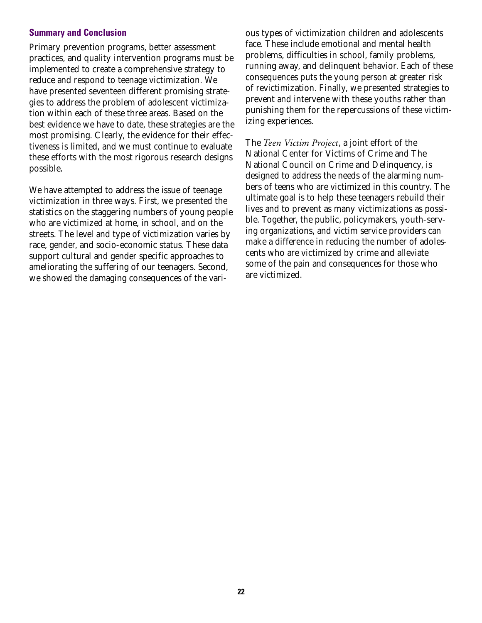#### **Summary and Conclusion**

Primary prevention programs, better assessment practices, and quality intervention programs must be implemented to create a comprehensive strategy to reduce and respond to teenage victimization. We have presented seventeen different promising strategies to address the problem of adolescent victimization within each of these three areas. Based on the best evidence we have to date, these strategies are the most promising. Clearly, the evidence for their effectiveness is limited, and we must continue to evaluate these efforts with the most rigorous research designs possible.

We have attempted to address the issue of teenage victimization in three ways. First, we presented the statistics on the staggering numbers of young people who are victimized at home, in school, and on the streets. The level and type of victimization varies by race, gender, and socio-economic status. These data support cultural and gender specific approaches to ameliorating the suffering of our teenagers. Second, we showed the damaging consequences of the vari-

ous types of victimization children and adolescents face. These include emotional and mental health problems, difficulties in school, family problems, running away, and delinquent behavior. Each of these consequences puts the young person at greater risk of revictimization. Finally, we presented strategies to prevent and intervene with these youths rather than punishing them for the repercussions of these victimizing experiences.

The *Teen Victim Project*, a joint effort of the National Center for Victims of Crime and The National Council on Crime and Delinquency, is designed to address the needs of the alarming numbers of teens who are victimized in this country. The ultimate goal is to help these teenagers rebuild their lives and to prevent as many victimizations as possible. Together, the public, policymakers, youth-serving organizations, and victim service providers can make a difference in reducing the number of adolescents who are victimized by crime and alleviate some of the pain and consequences for those who are victimized.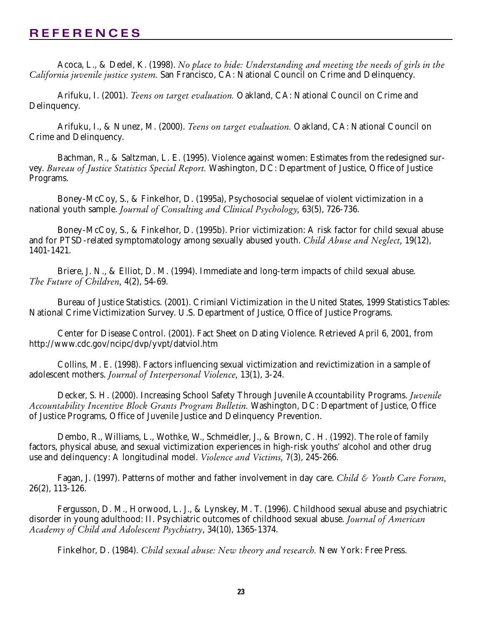# **REFERENCES**

Acoca, L., & Dedel, K. (1998). *No place to hide: Understanding and meeting the needs of girls in the California juvenile justice system.* San Francisco, CA: National Council on Crime and Delinquency.

Arifuku, I. (2001). *Teens on target evaluation.* Oakland, CA: National Council on Crime and Delinquency.

Arifuku, I., & Nunez, M. (2000). *Teens on target evaluation.* Oakland, CA: National Council on Crime and Delinquency.

Bachman, R., & Saltzman, L. E. (1995). Violence against women: Estimates from the redesigned survey. *Bureau of Justice Statistics Special Report.* Washington, DC: Department of Justice, Office of Justice Programs.

Boney-McCoy, S., & Finkelhor, D. (1995a), Psychosocial sequelae of violent victimization in a national youth sample. *Journal of Consulting and Clinical Psychology,* 63(5), 726-736.

Boney-McCoy, S., & Finkelhor, D. (1995b). Prior victimization: A risk factor for child sexual abuse and for PTSD-related symptomatology among sexually abused youth. *Child Abuse and Neglect,* 19(12), 1401-1421.

Briere, J. N., & Elliot, D. M. (1994). Immediate and long-term impacts of child sexual abuse. *The Future of Children,* 4(2), 54-69.

Bureau of Justice Statistics. (2001). Crimianl Victimization in the United States, 1999 Statistics Tables: National Crime Victimization Survey. U.S. Department of Justice, Office of Justice Programs.

Center for Disease Control. (2001). Fact Sheet on Dating Violence. Retrieved April 6, 2001, from http://www.cdc.gov/ncipc/dvp/yvpt/datviol.htm

Collins, M. E. (1998). Factors influencing sexual victimization and revictimization in a sample of adolescent mothers. *Journal of Interpersonal Violence,* 13(1), 3-24.

Decker, S. H. (2000). Increasing School Safety Through Juvenile Accountability Programs. *Juvenile Accountability Incentive Block Grants Program Bulletin.* Washington, DC: Department of Justice, Office of Justice Programs, Office of Juvenile Justice and Delinquency Prevention.

Dembo, R., Williams, L., Wothke, W., Schmeidler, J., & Brown, C. H. (1992). The role of family factors, physical abuse, and sexual victimization experiences in high-risk youths' alcohol and other drug use and delinquency: A longitudinal model. *Violence and Victims,* 7(3), 245-266.

Fagan, J. (1997). Patterns of mother and father involvement in day care. *Child & Youth Care Forum,* 26(2), 113-126.

Fergusson, D. M., Horwood, L. J., & Lynskey, M. T. (1996). Childhood sexual abuse and psychiatric disorder in young adulthood: II. Psychiatric outcomes of childhood sexual abuse. *Journal of American Academy of Child and Adolescent Psychiatry*, 34(10), 1365-1374.

Finkelhor, D. (1984). *Child sexual abuse: New theory and research.* New York: Free Press.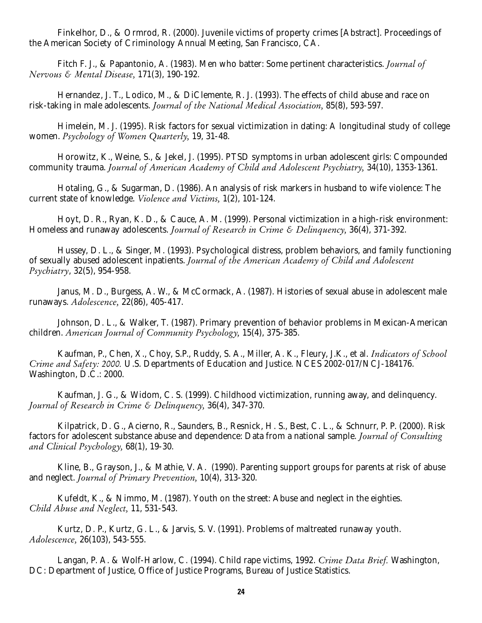Finkelhor, D., & Ormrod, R. (2000). Juvenile victims of property crimes [Abstract]. Proceedings of the American Society of Criminology Annual Meeting, San Francisco, CA.

Fitch F. J., & Papantonio, A. (1983). Men who batter: Some pertinent characteristics. *Journal of Nervous & Mental Disease,* 171(3), 190-192.

Hernandez, J. T., Lodico, M., & DiClemente, R. J. (1993). The effects of child abuse and race on risk-taking in male adolescents. *Journal of the National Medical Association,* 85(8), 593-597.

Himelein, M. J. (1995). Risk factors for sexual victimization in dating: A longitudinal study of college women. *Psychology of Women Quarterly,* 19, 31-48.

Horowitz, K., Weine, S., & Jekel, J. (1995). PTSD symptoms in urban adolescent girls: Compounded community trauma. *Journal of American Academy of Child and Adolescent Psychiatry,* 34(10), 1353-1361.

Hotaling, G., & Sugarman, D. (1986). An analysis of risk markers in husband to wife violence: The current state of knowledge. *Violence and Victims,* 1(2), 101-124.

Hoyt, D. R., Ryan, K. D., & Cauce, A. M. (1999). Personal victimization in a high-risk environment: Homeless and runaway adolescents. *Journal of Research in Crime & Delinquency,* 36(4), 371-392.

Hussey, D. L., & Singer, M. (1993). Psychological distress, problem behaviors, and family functioning of sexually abused adolescent inpatients. *Journal of the American Academy of Child and Adolescent Psychiatry*, 32(5), 954-958.

Janus, M. D., Burgess, A. W., & McCormack, A. (1987). Histories of sexual abuse in adolescent male runaways. *Adolescence,* 22(86), 405-417.

Johnson, D. L., & Walker, T. (1987). Primary prevention of behavior problems in Mexican-American children. *American Journal of Community Psychology,* 15(4), 375-385.

Kaufman, P., Chen, X., Choy, S.P., Ruddy, S. A., Miller, A. K., Fleury, J.K., et al. *Indicators of School Crime and Safety: 2000.* U.S. Departments of Education and Justice. NCES 2002-017/NCJ-184176. Washington, D.C.: 2000.

Kaufman, J. G., & Widom, C. S. (1999). Childhood victimization, running away, and delinquency. *Journal of Research in Crime & Delinquency,* 36(4), 347-370.

Kilpatrick, D. G., Acierno, R., Saunders, B., Resnick, H. S., Best, C. L., & Schnurr, P. P. (2000). Risk factors for adolescent substance abuse and dependence: Data from a national sample. *Journal of Consulting and Clinical Psychology,* 68(1), 19-30.

Kline, B., Grayson, J., & Mathie, V. A. (1990). Parenting support groups for parents at risk of abuse and neglect. *Journal of Primary Prevention,* 10(4), 313-320.

Kufeldt, K., & Nimmo, M. (1987). Youth on the street: Abuse and neglect in the eighties. *Child Abuse and Neglect,* 11, 531-543.

Kurtz, D. P., Kurtz, G. L., & Jarvis, S. V. (1991). Problems of maltreated runaway youth. *Adolescence,* 26(103), 543-555.

Langan, P. A. & Wolf-Harlow, C. (1994). Child rape victims, 1992. *Crime Data Brief.* Washington, DC: Department of Justice, Office of Justice Programs, Bureau of Justice Statistics.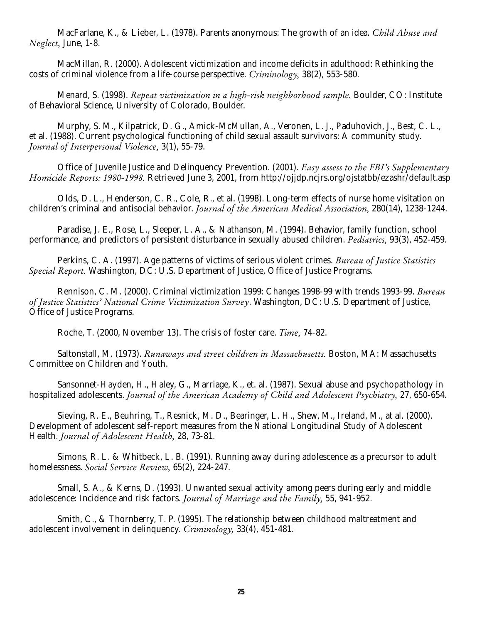MacFarlane, K., & Lieber, L. (1978). Parents anonymous: The growth of an idea. *Child Abuse and Neglect,* June, 1-8.

MacMillan, R. (2000). Adolescent victimization and income deficits in adulthood: Rethinking the costs of criminal violence from a life-course perspective. *Criminology,* 38(2), 553-580.

Menard, S. (1998). *Repeat victimization in a high-risk neighborhood sample.* Boulder, CO: Institute of Behavioral Science, University of Colorado, Boulder.

Murphy, S. M., Kilpatrick, D. G., Amick-McMullan, A., Veronen, L. J., Paduhovich, J., Best, C. L., et al. (1988). Current psychological functioning of child sexual assault survivors: A community study. *Journal of Interpersonal Violence,* 3(1), 55-79.

Office of Juvenile Justice and Delinquency Prevention. (2001). *Easy assess to the FBI's Supplementary Homicide Reports: 1980-1998.* Retrieved June 3, 2001, from http://ojjdp.ncjrs.org/ojstatbb/ezashr/default.asp

Olds, D. L., Henderson, C. R., Cole, R., et al. (1998). Long-term effects of nurse home visitation on children's criminal and antisocial behavior. *Journal of the American Medical Association,* 280(14), 1238-1244.

Paradise, J. E., Rose, L., Sleeper, L. A., & Nathanson, M. (1994). Behavior, family function, school performance, and predictors of persistent disturbance in sexually abused children. *Pediatrics,* 93(3), 452-459.

Perkins, C. A. (1997). Age patterns of victims of serious violent crimes. *Bureau of Justice Statistics Special Report.* Washington, DC: U.S. Department of Justice, Office of Justice Programs.

Rennison, C. M. (2000). Criminal victimization 1999: Changes 1998-99 with trends 1993-99. *Bureau of Justice Statistics' National Crime Victimization Survey*. Washington, DC: U.S. Department of Justice, Office of Justice Programs.

Roche, T. (2000, November 13). The crisis of foster care. *Time,* 74-82.

Saltonstall, M. (1973). *Runaways and street children in Massachusetts.* Boston, MA: Massachusetts Committee on Children and Youth.

Sansonnet-Hayden, H., Haley, G., Marriage, K., et. al. (1987). Sexual abuse and psychopathology in hospitalized adolescents. *Journal of the American Academy of Child and Adolescent Psychiatry,* 27, 650-654.

Sieving, R. E., Beuhring, T., Resnick, M. D., Bearinger, L. H., Shew, M., Ireland, M., at al. (2000). Development of adolescent self-report measures from the National Longitudinal Study of Adolescent Health. *Journal of Adolescent Health,* 28, 73-81.

Simons, R. L. & Whitbeck, L. B. (1991). Running away during adolescence as a precursor to adult homelessness. *Social Service Review,* 65(2), 224-247.

Small, S. A., & Kerns, D. (1993). Unwanted sexual activity among peers during early and middle adolescence: Incidence and risk factors. *Journal of Marriage and the Family,* 55, 941-952.

Smith, C., & Thornberry, T. P. (1995). The relationship between childhood maltreatment and adolescent involvement in delinquency. *Criminology,* 33(4), 451-481.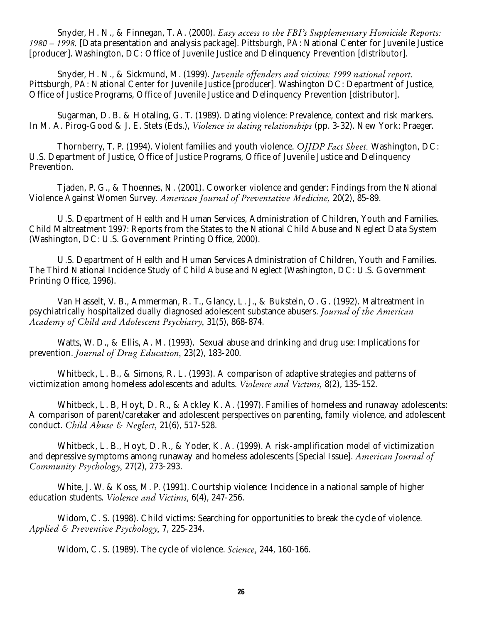Snyder, H. N., & Finnegan, T. A. (2000). *Easy access to the FBI's Supplementary Homicide Reports: 1980 – 1998.* [Data presentation and analysis package]. Pittsburgh, PA: National Center for Juvenile Justice [producer]. Washington, DC: Office of Juvenile Justice and Delinquency Prevention [distributor].

Snyder, H. N., & Sickmund, M. (1999). *Juvenile offenders and victims: 1999 national report.* Pittsburgh, PA: National Center for Juvenile Justice [producer]. Washington DC: Department of Justice, Office of Justice Programs, Office of Juvenile Justice and Delinquency Prevention [distributor].

Sugarman, D. B. & Hotaling, G. T. (1989). Dating violence: Prevalence, context and risk markers. In M. A. Pirog-Good & J. E. Stets (Eds.), *Violence in dating relationships* (pp. 3-32). New York: Praeger.

Thornberry, T. P. (1994). Violent families and youth violence. *OJJDP Fact Sheet.* Washington, DC: U.S. Department of Justice, Office of Justice Programs, Office of Juvenile Justice and Delinquency Prevention.

Tjaden, P. G., & Thoennes, N. (2001). Coworker violence and gender: Findings from the National Violence Against Women Survey. *American Journal of Preventative Medicine,* 20(2), 85-89.

U.S. Department of Health and Human Services, Administration of Children, Youth and Families. Child Maltreatment 1997: Reports from the States to the National Child Abuse and Neglect Data System (Washington, DC: U.S. Government Printing Office, 2000).

U.S. Department of Health and Human Services Administration of Children, Youth and Families. The Third National Incidence Study of Child Abuse and Neglect (Washington, DC: U.S. Government Printing Office, 1996).

Van Hasselt, V. B., Ammerman, R. T., Glancy, L. J., & Bukstein, O. G. (1992). Maltreatment in psychiatrically hospitalized dually diagnosed adolescent substance abusers. *Journal of the American Academy of Child and Adolescent Psychiatry,* 31(5), 868-874.

Watts, W. D., & Ellis, A. M. (1993). Sexual abuse and drinking and drug use: Implications for prevention. *Journal of Drug Education,* 23(2), 183-200.

Whitbeck, L. B., & Simons, R. L. (1993). A comparison of adaptive strategies and patterns of victimization among homeless adolescents and adults. *Violence and Victims,* 8(2), 135-152.

Whitbeck, L. B, Hoyt, D. R., & Ackley K. A. (1997). Families of homeless and runaway adolescents: A comparison of parent/caretaker and adolescent perspectives on parenting, family violence, and adolescent conduct. *Child Abuse & Neglect,* 21(6), 517-528.

Whitbeck, L. B., Hoyt, D. R., & Yoder, K. A. (1999). A risk-amplification model of victimization and depressive symptoms among runaway and homeless adolescents [Special Issue]. *American Journal of Community Psychology,* 27(2), 273-293.

White, J. W. & Koss, M. P. (1991). Courtship violence: Incidence in a national sample of higher education students. *Violence and Victims,* 6(4), 247-256.

Widom, C. S. (1998). Child victims: Searching for opportunities to break the cycle of violence. *Applied & Preventive Psychology,* 7, 225-234.

Widom, C. S. (1989). The cycle of violence. *Science,* 244, 160-166.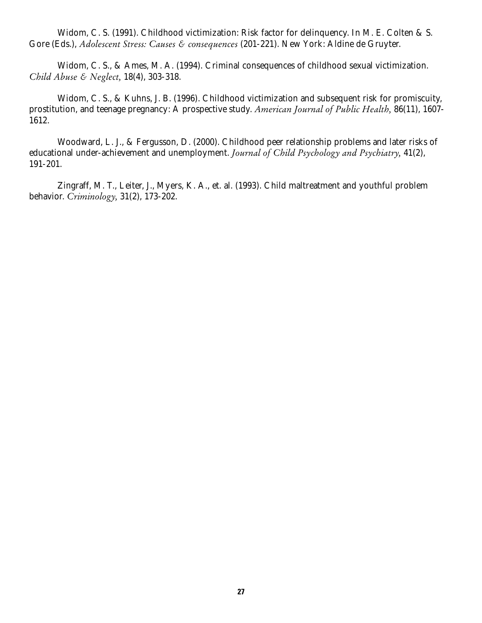Widom, C. S. (1991). Childhood victimization: Risk factor for delinquency. In M. E. Colten & S. Gore (Eds.), *Adolescent Stress: Causes & consequences* (201-221). New York: Aldine de Gruyter.

Widom, C. S., & Ames, M. A. (1994). Criminal consequences of childhood sexual victimization. *Child Abuse & Neglect,* 18(4), 303-318.

Widom, C. S., & Kuhns, J. B. (1996). Childhood victimization and subsequent risk for promiscuity, prostitution, and teenage pregnancy: A prospective study. *American Journal of Public Health,* 86(11), 1607- 1612.

Woodward, L. J., & Fergusson, D. (2000). Childhood peer relationship problems and later risks of educational under-achievement and unemployment. *Journal of Child Psychology and Psychiatry,* 41(2), 191-201.

Zingraff, M. T., Leiter, J., Myers, K. A., et. al. (1993). Child maltreatment and youthful problem behavior. *Criminology,* 31(2), 173-202.